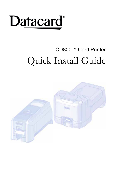# **Datacard**<sup>®</sup>

### CD800™ Card Printer Quick Install Guide

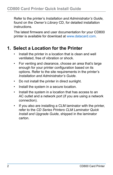Refer to the printer's *Installation and Administrator's Guide,*  found on the *Owner's Library* CD, for detailed installation instructions.

The latest firmware and user documentation for your CD800 printer is available for download at www.datacard.com.

#### **1. Select a Location for the Printer**

- Install the printer in a location that is clean and well ventilated, free of vibration or shock.
- For venting and clearance, choose an area that's large enough for your printer configuration based on its options. Refer to the site requirements in the printer's *Installation and Administrator's Guide*.
- Do not install the printer in direct sunlight.
- Install the system in a secure location.
- Install the system in a location that has access to an AC outlet and a network port (if you are using a network connection).
- If you also are installing a CLM laminator with the printer, refer to the *CD Series Printers CLM Laminator Quick Install and Upgrade Guide*, shipped in the laminator carton.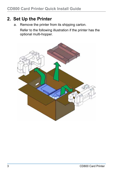#### **2. Set Up the Printer**

a. Remove the printer from its shipping carton.

Refer to the following illustration if the printer has the optional multi-hopper.

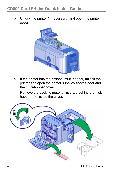b. Unlock the printer (if necessary) and open the printer cover.



c. If the printer has the optional multi-hopper, unlock the printer and open the printer supplies access door and the multi-hopper cover.

Remove the packing material inserted behind the multihopper and inside the cover.

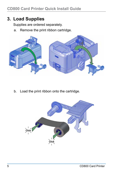#### **3. Load Supplies**

Supplies are ordered separately.

a. Remove the print ribbon cartridge.



b. Load the print ribbon onto the cartridge.

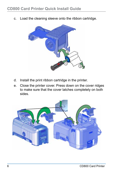c. Load the cleaning sleeve onto the ribbon cartridge.



- d. Install the print ribbon cartridge in the printer.
- e. Close the printer cover. Press down on the cover ridges to make sure that the cover latches completely on both sides.

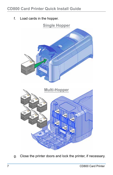f. Load cards in the hopper.



g. Close the printer doors and lock the printer, if necessary.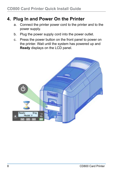#### **4. Plug In and Power On the Printer**

- a. Connect the printer power cord to the printer and to the power supply.
- b. Plug the power supply cord into the power outlet.
- c. Press the power button on the front panel to power on the printer. Wait until the system has powered up and **Ready** displays on the LCD panel.

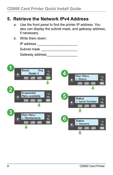#### **5. Retrieve the Network IPv4 Address**

- a. Use the front panel to find the printer IP address. You also can display the subnet mask, and gateway address, if necessary.
- b. Write them down:

| IP address      |  |
|-----------------|--|
| Subnet mask     |  |
| Gateway address |  |

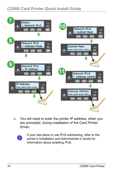

c. You will need to enter the printer IP address, when you are prompted, during installation of the Card Printer **Driver** 



If your site plans to use IPv6 addressing, refer to the printer's *Installation and Administrator's Guide* for information about enabling IPv6.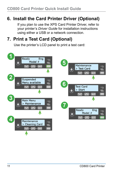#### **6. Install the Card Printer Driver (Optional)**

If you plan to use the XPS Card Printer Driver, refer to your printer's *Driver Guide* for installation instructions using either a USB or a network connection.

#### **7. Print a Test Card (Optional)**

Use the printer's LCD panel to print a test card:

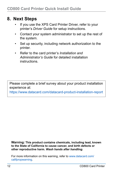#### **8. Next Steps**

- If you use the XPS Card Printer Driver, refer to your printer's *Driver Guide* for setup instructions.
- Contact your system administrator to set up the rest of the system.
- Set up security, including network authorization to the printer.
- Refer to the card printer's *Installation and Administrator's Guide* for detailed installation instructions.

Please complete a brief survey about your product installation experience at:

https://www.datacard.com/datacard-product-installation-report

**Warning: This product contains chemicals, including lead, known to the State of California to cause cancer, and birth defects or other reproductive harm.** *Wash hands after handling.*

For more information on this warning, refer to www.datacard.com/ califpropwarning.